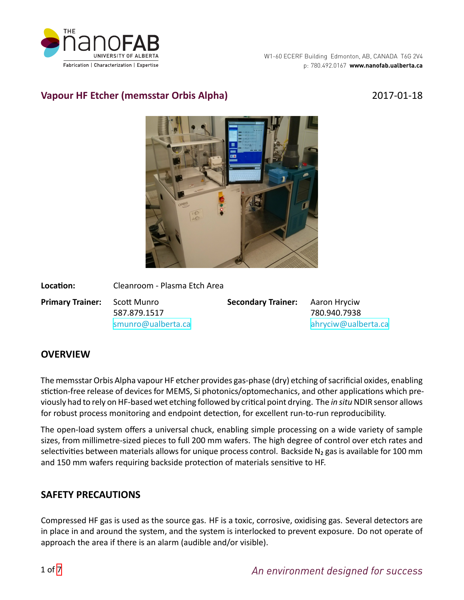

# **Vapour HF Etcher (memsstar Orbis Alpha)** 2017-01-18



| Location:                           | Cleanroom - Plasma Etch Area |                                        |                     |  |
|-------------------------------------|------------------------------|----------------------------------------|---------------------|--|
| <b>Primary Trainer:</b> Scott Munro | 587.879.1517                 | <b>Secondary Trainer:</b> Aaron Hryciw | 780.940.7938        |  |
|                                     | smunro@ualberta.ca           |                                        | ahryciw@ualberta.ca |  |

# **OVERVIEW**

The memsstar Orbis Alpha vapour HF etcher provides gas-phase (dry) etching of sacrificial oxides, enabling stiction-free release of devices for MEMS, Si photonics/optomechanics, and other applications which previously had to rely on HF-based wet etching followed by critical point drying. The *in situ* NDIR sensor allows for robust process monitoring and endpoint detection, for excellent run-to-run reproducibility.

The open-load system offers a universal chuck, enabling simple processing on a wide variety of sample sizes, from millimetre-sized pieces to full 200 mm wafers. The high degree of control over etch rates and selectivities between materials allows for unique process control. Backside N<sub>2</sub> gas is available for 100 mm and 150 mm wafers requiring backside protection of materials sensitive to HF.

## **SAFETY PRECAUTIONS**

Compressed HF gas is used as the source gas. HF is a toxic, corrosive, oxidising gas. Several detectors are in place in and around the system, and the system is interlocked to prevent exposure. Do not operate of approach the area if there is an alarm (audible and/or visible).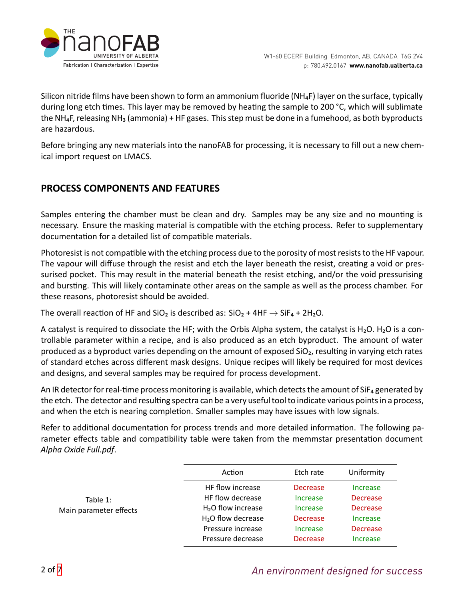

Silicon nitride films have been shown to form an ammonium fluoride (NH<sub>4</sub>F) layer on the surface, typically during long etch times. This layer may be removed by heating the sample to 200 °C, which will sublimate the NH<sub>4</sub>F, releasing NH<sub>3</sub> (ammonia) + HF gases. This step must be done in a fumehood, as both byproducts are hazardous.

Before bringing any new materials into the nanoFAB for processing, it is necessary to fill out a new chemical import request on LMACS.

# **PROCESS COMPONENTS AND FEATURES**

Samples entering the chamber must be clean and dry. Samples may be any size and no mounting is necessary. Ensure the masking material is compatible with the etching process. Refer to supplementary documentation for a detailed list of compatible materials.

Photoresist is not compatible with the etching process due to the porosity of most resists to the HF vapour. The vapour will diffuse through the resist and etch the layer beneath the resist, creating a void or pressurised pocket. This may result in the material beneath the resist etching, and/or the void pressurising and bursting. This will likely contaminate other areas on the sample as well as the process chamber. For these reasons, photoresist should be avoided.

The overall reaction of HF and SiO<sub>2</sub> is described as:  $SiO<sub>2</sub> + 4HF \rightarrow SiF<sub>4</sub> + 2H<sub>2</sub>O$ .

A catalyst is required to dissociate the HF; with the Orbis Alpha system, the catalyst is H<sub>2</sub>O. H<sub>2</sub>O is a controllable parameter within a recipe, and is also produced as an etch byproduct. The amount of water produced as a byproduct varies depending on the amount of exposed SiO<sub>2</sub>, resulting in varying etch rates of standard etches across different mask designs. Unique recipes will likely be required for most devices and designs, and several samples may be required for process development.

An IR detector for real-time process monitoring is available, which detects the amount of SiF<sub>4</sub> generated by the etch. The detector and resulting spectra can be a very useful tool to indicate various points in a process, and when the etch is nearing completion. Smaller samples may have issues with low signals.

Refer to additional documentation for process trends and more detailed information. The following parameter effects table and compatibility table were taken from the memmstar presentation document *Alpha Oxide Full.pdf*.

|                        | Action              | Etch rate       | Uniformity      |  |
|------------------------|---------------------|-----------------|-----------------|--|
| Table $1$ :            | HF flow increase    | <b>Decrease</b> | Increase        |  |
|                        | HF flow decrease    | Increase        | <b>Decrease</b> |  |
| Main parameter effects | $H2O$ flow increase | Increase        | <b>Decrease</b> |  |
|                        | $H2O$ flow decrease | <b>Decrease</b> | Increase        |  |
|                        | Pressure increase   | Increase        | <b>Decrease</b> |  |
|                        | Pressure decrease   | <b>Decrease</b> | Increase        |  |
|                        |                     |                 |                 |  |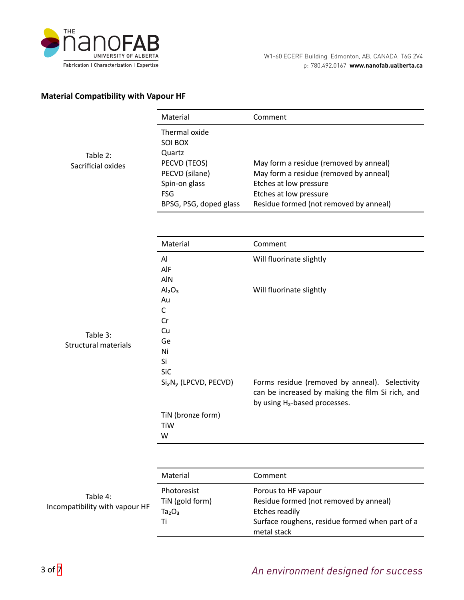

#### **Material Compatibility with Vapour HF**

|                                            | Material                                                                                                                      | Comment                                                                                                                                                                        |
|--------------------------------------------|-------------------------------------------------------------------------------------------------------------------------------|--------------------------------------------------------------------------------------------------------------------------------------------------------------------------------|
| Table 2:<br>Sacrificial oxides             | Thermal oxide<br>SOI BOX<br>Quartz<br>PECVD (TEOS)<br>PECVD (silane)<br>Spin-on glass<br><b>FSG</b><br>BPSG, PSG, doped glass | May form a residue (removed by anneal)<br>May form a residue (removed by anneal)<br>Etches at low pressure<br>Etches at low pressure<br>Residue formed (not removed by anneal) |
|                                            | Material                                                                                                                      | Comment                                                                                                                                                                        |
| Table 3:<br><b>Structural materials</b>    | Al<br>AIF<br>AIN                                                                                                              | Will fluorinate slightly                                                                                                                                                       |
|                                            | Al <sub>2</sub> O <sub>3</sub><br>Au<br>$\mathsf{C}$<br>Cr                                                                    | Will fluorinate slightly                                                                                                                                                       |
|                                            | Cu<br>Ge<br>Ni<br>Si<br>SiC                                                                                                   |                                                                                                                                                                                |
|                                            | $Si_XN_V$ (LPCVD, PECVD)                                                                                                      | Forms residue (removed by anneal). Selectivity<br>can be increased by making the film Si rich, and<br>by using H <sub>2</sub> -based processes.                                |
|                                            | TiN (bronze form)<br>TiW<br>W                                                                                                 |                                                                                                                                                                                |
|                                            |                                                                                                                               |                                                                                                                                                                                |
|                                            | Material                                                                                                                      | Comment                                                                                                                                                                        |
| Table 4:<br>Incompatibility with vapour HF | Photoresist<br>TiN (gold form)<br>Ta <sub>2</sub> O <sub>3</sub>                                                              | Porous to HF vapour<br>Residue formed (not removed by anneal)<br><b>Etches readily</b>                                                                                         |
|                                            | Ti                                                                                                                            | Surface roughens, residue formed when part of a                                                                                                                                |

metal stack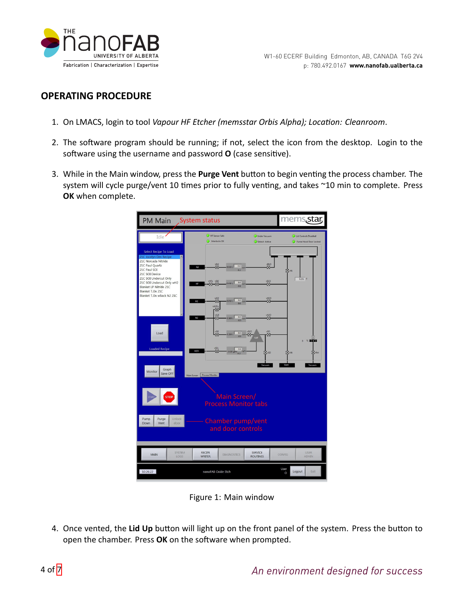

## **OPERATING PROCEDURE**

- 1. On LMACS, login to tool *Vapour HF Etcher (memsstar Orbis Alpha); Location: Cleanroom.*
- 2. The software program should be running; if not, select the icon from the desktop. Login to the software using the username and password **O** (case sensitive).
- 3. While in the Main window, press the Purge Vent button to begin venting the process chamber. The system will cycle purge/vent 10 times prior to fully venting, and takes ~10 min to complete. Press **OK** when complete.

| <b>PM Main</b>                                                                                          | <b>System status</b>                                                      |                                         | mems.star                                      |
|---------------------------------------------------------------------------------------------------------|---------------------------------------------------------------------------|-----------------------------------------|------------------------------------------------|
| Idle                                                                                                    | <b>HF</b> Sensor Safe<br>Interlocks OK                                    | Under Vacuum<br><b>B</b> Extract Active | Lid Controls Disabled<br>Fume Hood Door Locked |
| <b>Select Recipe To Load</b>                                                                            |                                                                           |                                         |                                                |
| 21C Jocelyn Dev Recipe<br>A<br>21C Norcada Nitride<br>21C Paul Quartz<br>21C Paul SOI<br>21C SOI Device | <b>NBd</b><br>0.0<br>0.020 L<br>N <sub>2</sub><br>0.1                     | vBsO<br>Ø.                              | <b>XVF1</b>                                    |
| 21C SOI Undercut Only<br>21C SOI Undercut Only wH2<br>Blanket LP Nitride 21C<br>Blanket T.Ox 21C        | vHFs vE11<br>0.0<br>0.450 L<br>HF<br>$\overline{\mathsf{x}}$<br>X.<br>0.3 | vE1O<br>$\boxtimes$                     | $0.231$ T                                      |
| Blanket T.Ox wBack N2 21C                                                                               | <b>All</b><br>0.0<br>0.050 L<br>H2<br>0.0<br>vA1Pu<br><b>z</b>            | wA10                                    |                                                |
|                                                                                                         | vA2I<br>$\overline{\mathsf{x}}$<br>0.0<br>N2<br>0.500L                    | $v\Delta 2O$<br>×.<br>0.5               |                                                |
| Load                                                                                                    | Š.<br>0.0<br>0.2001<br>0.0                                                | v510<br>vSO<br>囟<br>Ø<br><b>VAI</b>     | $\times$ main $\blacksquare$<br>$\Omega$       |
| <b>Loaded Recipe</b>                                                                                    | vS1L<br>0.0<br>$\bar{\boxtimes}$<br><b>H2O</b><br>0.020 gPm<br>0.2        | <b>X</b> vsp                            | <b>X</b><br><b>X</b> viso                      |
| Graph<br>Monitor<br>Save OFF                                                                            | Main Screen Process Monitor                                               | Vacuum                                  | Vent<br>Vacuum                                 |
| <b>STOP</b><br><b>START</b>                                                                             | Main Screen/<br><b>Process Monitor tabs</b>                               |                                         |                                                |
| Pump<br>Unlock<br>Purge<br>Down<br>Vent<br>door                                                         | Chamber pump/vent<br>and door controls                                    |                                         |                                                |
| <b>SYSTEM</b><br>MAIN<br>LOGS                                                                           | <b>RECIPE</b><br><b>DIAGNOSTICS</b><br><b>WRITER</b>                      | <b>SERVICE</b><br><b>ROUTINES</b>       | <b>USER</b><br>CONFIG<br><b>ADMIN</b>          |
| 10:26:22                                                                                                | nanoFAB Oxide Etch                                                        |                                         | User<br>Logout<br>Exit<br>$\circ$              |

Figure 1: Main window

4. Once vented, the Lid Up button will light up on the front panel of the system. Press the button to open the chamber. Press OK on the software when prompted.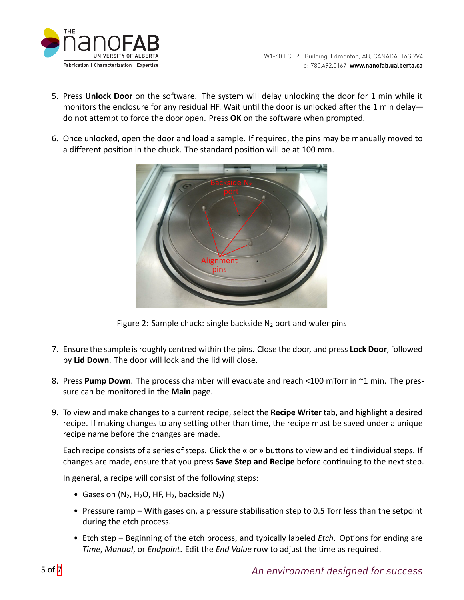

- 5. Press **Unlock Door** on the software. The system will delay unlocking the door for 1 min while it monitors the enclosure for any residual HF. Wait until the door is unlocked after the 1 min delay do not attempt to force the door open. Press OK on the software when prompted.
- 6. Once unlocked, open the door and load a sample. If required, the pins may be manually moved to a different position in the chuck. The standard position will be at 100 mm.



Figure 2: Sample chuck: single backside  $N_2$  port and wafer pins

- 7. Ensure the sample is roughly centred within the pins. Close the door, and press **Lock Door**, followed by **Lid Down**. The door will lock and the lid will close.
- 8. Press **Pump Down**. The process chamber will evacuate and reach <100 mTorr in ~1 min. The pressure can be monitored in the **Main** page.
- 9. To view and make changes to a current recipe, select the **Recipe Writer** tab, and highlight a desired recipe. If making changes to any setting other than time, the recipe must be saved under a unique recipe name before the changes are made.

Each recipe consists of a series of steps. Click the **«** or **»** buttons to view and edit individual steps. If changes are made, ensure that you press **Save Step and Recipe** before continuing to the next step.

In general, a recipe will consist of the following steps:

- Gases on  $(N_2, H_2O, HF, H_2,$  backside  $N_2)$
- Pressure ramp With gases on, a pressure stabilisation step to 0.5 Torr less than the setpoint during the etch process.
- Etch step Beginning of the etch process, and typically labeled *Etch*. Options for ending are *Time, Manual, or Endpoint. Edit the End Value row to adjust the time as required.*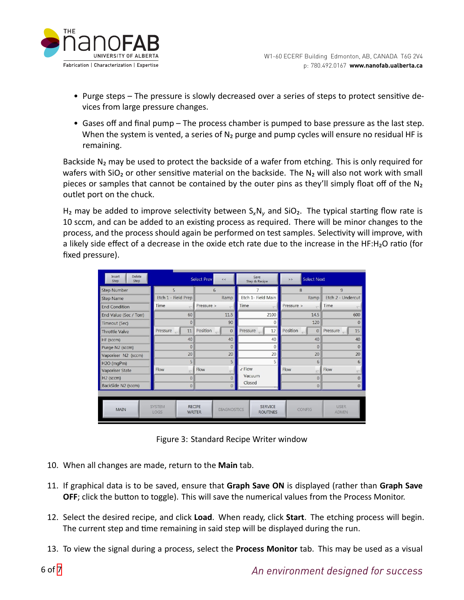

- Purge steps The pressure is slowly decreased over a series of steps to protect sensitive devices from large pressure changes.
- Gases off and final pump The process chamber is pumped to base pressure as the last step. When the system is vented, a series of  $N_2$  purge and pump cycles will ensure no residual HF is remaining.

Backside  $N_2$  may be used to protect the backside of a wafer from etching. This is only required for wafers with  $SiO<sub>2</sub>$  or other sensitive material on the backside. The N<sub>2</sub> will also not work with small pieces or samples that cannot be contained by the outer pins as they'll simply float off of the N<sub>2</sub> outlet port on the chuck.

H<sub>2</sub> may be added to improve selectivity between  $S_xN_y$  and SiO<sub>2</sub>. The typical starting flow rate is 10 sccm, and can be added to an existing process as required. There will be minor changes to the process, and the process should again be performed on test samples. Selectivity will improve, with a likely side effect of a decrease in the oxide etch rate due to the increase in the HF:H<sub>2</sub>O ratio (for fixed pressure).

| Delete<br>Insert<br>Step<br>Step | <b>Select Prev</b><br>$<<$                 |                                                      | Save<br>Step & Recipe             | <b>Select Next</b><br>$>$              |                               |
|----------------------------------|--------------------------------------------|------------------------------------------------------|-----------------------------------|----------------------------------------|-------------------------------|
| <b>Step Number</b>               | 5                                          | 6                                                    |                                   | $\mathbf{8}$                           | 9                             |
| <b>Step Name</b>                 | Etch 1 - Field Prep                        | Ramp                                                 | Etch 1- Field Main                | Ramp                                   | Etch 2 - Undercut             |
| <b>End Condition</b>             | Time                                       | Pressure >                                           | Time                              | Pressure ><br>$\overline{\mathcal{L}}$ | Time                          |
| End Value (Sec / Torr)           | 60                                         | 11.5                                                 | 2100                              | 14.5                                   | 600                           |
| Timeout (Sec)                    | $\overline{0}$                             | 90                                                   | $\Omega$                          | 120                                    | $\Omega$                      |
| <b>Throttle Valve</b>            | Pressure<br>11<br>$\overline{\phantom{0}}$ | Position<br>$\mathbf{0}$                             | Pressure<br>12                    | Position<br>$\mathbf{0}$               | Pressure $\overline{a}$<br>15 |
| HF (sccm)                        | 40                                         | 40                                                   | 40                                | 40                                     | 40                            |
| Purge N2 (sccm)                  | $\overline{0}$                             | $\theta$                                             | $\theta$                          | $\theta$                               | $\Omega$                      |
| Vaporiser N2 (sccm)              | 20                                         | 20                                                   | 20                                | 20                                     | 20                            |
| H2O (mgPm)                       | 5                                          | 5                                                    | 5                                 | 6                                      | 6                             |
| Vaporiser State                  | Flow                                       | Flow                                                 | <b>√ Flow</b>                     | Flow<br>÷                              | Flow                          |
| H <sub>2</sub> (sccm)            | $\mathbf 0$                                | $\Omega$                                             | Vacuum                            | $\mathbf{0}$                           | $\overline{0}$                |
| BackSide N2 (sccm)               | $\mathbf 0$                                | $\mathbf{0}$                                         | Closed                            | $\overline{0}$                         | $\overline{0}$                |
|                                  |                                            |                                                      |                                   |                                        |                               |
| <b>MAIN</b>                      | <b>SYSTEM</b><br>LOGS                      | <b>RECIPE</b><br><b>DIAGNOSTICS</b><br><b>WRITER</b> | <b>SERVICE</b><br><b>ROUTINES</b> | <b>CONFIG</b>                          | <b>USER</b><br><b>ADMIN</b>   |

Figure 3: Standard Recipe Writer window

- 10. When all changes are made, return to the **Main** tab.
- 11. If graphical data is to be saved, ensure that **Graph Save ON** is displayed (rather than **Graph Save OFF**; click the button to toggle). This will save the numerical values from the Process Monitor.
- 12. Select the desired recipe, and click **Load**. When ready, click **Start**. The etching process will begin. The current step and time remaining in said step will be displayed during the run.
- 13. To view the signal during a process, select the **Process Monitor** tab. This may be used as a visual